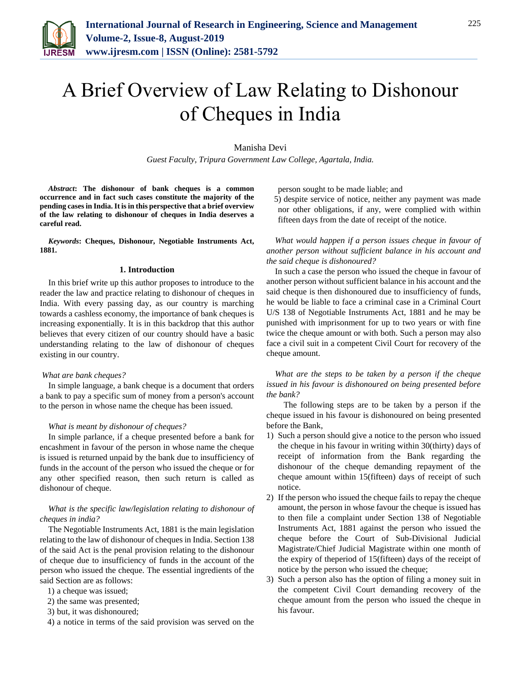

Manisha Devi

*Guest Faculty, Tripura Government Law College, Agartala, India.*

*Abstract***: The dishonour of bank cheques is a common occurrence and in fact such cases constitute the majority of the pending cases in India. It is in this perspective that a brief overview of the law relating to dishonour of cheques in India deserves a careful read.**

*Keywords***: Cheques, Dishonour, Negotiable Instruments Act, 1881.**

#### **1. Introduction**

In this brief write up this author proposes to introduce to the reader the law and practice relating to dishonour of cheques in India. With every passing day, as our country is marching towards a cashless economy, the importance of bank cheques is increasing exponentially. It is in this backdrop that this author believes that every citizen of our country should have a basic understanding relating to the law of dishonour of cheques existing in our country.

### *What are bank cheques?*

In simple language, a bank cheque is a document that orders a bank to pay a specific sum of money from a person's account to the person in whose name the cheque has been issued.

### *What is meant by dishonour of cheques?*

In simple parlance, if a cheque presented before a bank for encashment in favour of the person in whose name the cheque is issued is returned unpaid by the bank due to insufficiency of funds in the account of the person who issued the cheque or for any other specified reason, then such return is called as dishonour of cheque.

## *What is the specific law/legislation relating to dishonour of cheques in india?*

The Negotiable Instruments Act, 1881 is the main legislation relating to the law of dishonour of cheques in India. Section 138 of the said Act is the penal provision relating to the dishonour of cheque due to insufficiency of funds in the account of the person who issued the cheque. The essential ingredients of the said Section are as follows:

- 1) a cheque was issued;
- 2) the same was presented;
- 3) but, it was dishonoured;
- 4) a notice in terms of the said provision was served on the

person sought to be made liable; and

5) despite service of notice, neither any payment was made nor other obligations, if any, were complied with within fifteen days from the date of receipt of the notice.

*What would happen if a person issues cheque in favour of another person without sufficient balance in his account and the said cheque is dishonoured?*

In such a case the person who issued the cheque in favour of another person without sufficient balance in his account and the said cheque is then dishonoured due to insufficiency of funds, he would be liable to face a criminal case in a Criminal Court U/S 138 of Negotiable Instruments Act, 1881 and he may be punished with imprisonment for up to two years or with fine twice the cheque amount or with both. Such a person may also face a civil suit in a competent Civil Court for recovery of the cheque amount.

*What are the steps to be taken by a person if the cheque issued in his favour is dishonoured on being presented before the bank?*

The following steps are to be taken by a person if the cheque issued in his favour is dishonoured on being presented before the Bank,

- 1) Such a person should give a notice to the person who issued the cheque in his favour in writing within 30(thirty) days of receipt of information from the Bank regarding the dishonour of the cheque demanding repayment of the cheque amount within 15(fifteen) days of receipt of such notice.
- 2) If the person who issued the cheque fails to repay the cheque amount, the person in whose favour the cheque is issued has to then file a complaint under Section 138 of Negotiable Instruments Act, 1881 against the person who issued the cheque before the Court of Sub-Divisional Judicial Magistrate/Chief Judicial Magistrate within one month of the expiry of theperiod of 15(fifteen) days of the receipt of notice by the person who issued the cheque;
- 3) Such a person also has the option of filing a money suit in the competent Civil Court demanding recovery of the cheque amount from the person who issued the cheque in his favour.